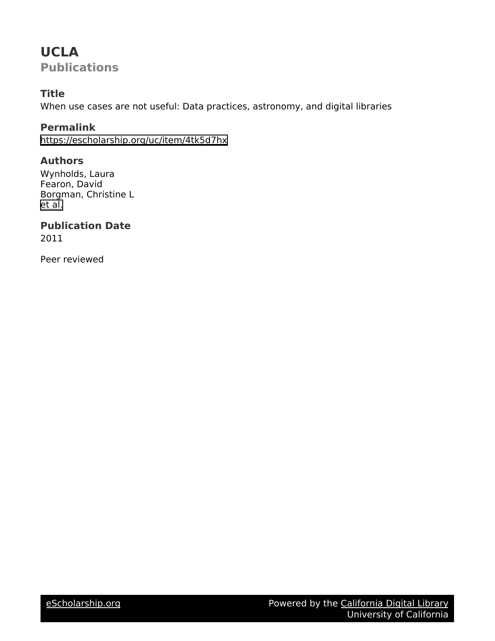# **UCLA Publications**

## **Title**

When use cases are not useful: Data practices, astronomy, and digital libraries

## **Permalink**

<https://escholarship.org/uc/item/4tk5d7hx>

### **Authors**

Wynholds, Laura Fearon, David Borgman, Christine L [et al.](https://escholarship.org/uc/item/4tk5d7hx#author)

# **Publication Date**

2011

Peer reviewed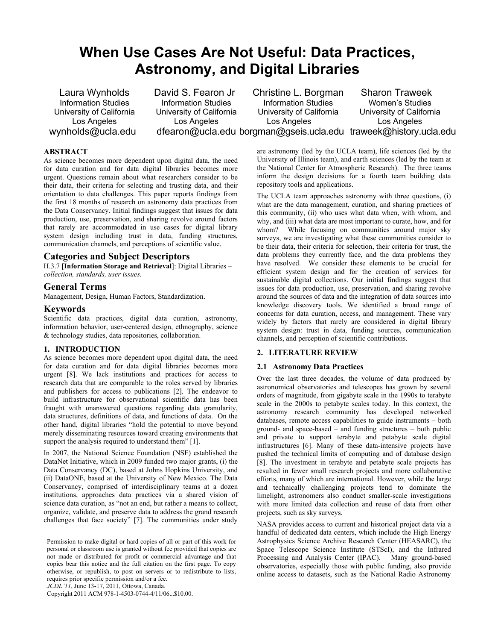# **When Use Cases Are Not Useful: Data Practices, Astronomy, and Digital Libraries**

Laura Wynholds Information Studies University of California Los Angeles wynholds@ucla.edu David S. Fearon Jr Information Studies University of California Los Angeles dfearon@ucla.edu borgman@gseis.ucla.edu traweek@history.ucla.edu Christine L. Borgman Information Studies University of California Los Angeles Sharon Traweek Women's Studies University of California Los Angeles

#### **ABSTRACT**

As science becomes more dependent upon digital data, the need for data curation and for data digital libraries becomes more urgent. Questions remain about what researchers consider to be their data, their criteria for selecting and trusting data, and their orientation to data challenges. This paper reports findings from the first 18 months of research on astronomy data practices from the Data Conservancy. Initial findings suggest that issues for data production, use, preservation, and sharing revolve around factors that rarely are accommodated in use cases for digital library system design including trust in data, funding structures, communication channels, and perceptions of scientific value.

#### **Categories and Subject Descriptors**

H.3.7 [**Information Storage and Retrieval**]: Digital Libraries – *collection, standards, user issues.*

#### **General Terms**

Management, Design, Human Factors, Standardization.

#### **Keywords**

Scientific data practices, digital data curation, astronomy, information behavior, user-centered design, ethnography, science & technology studies, data repositories, collaboration.

#### **1. INTRODUCTION**

As science becomes more dependent upon digital data, the need for data curation and for data digital libraries becomes more urgent [8]. We lack institutions and practices for access to research data that are comparable to the roles served by libraries and publishers for access to publications [2]. The endeavor to build infrastructure for observational scientific data has been fraught with unanswered questions regarding data granularity, data structures, definitions of data, and functions of data. On the other hand, digital libraries "hold the potential to move beyond merely disseminating resources toward creating environments that support the analysis required to understand them" [1].

In 2007, the National Science Foundation (NSF) established the DataNet Initiative, which in 2009 funded two major grants, (i) the Data Conservancy (DC), based at Johns Hopkins University, and (ii) DataONE, based at the University of New Mexico. The Data Conservancy, comprised of interdisciplinary teams at a dozen institutions, approaches data practices via a shared vision of science data curation, as "not an end, but rather a means to collect, organize, validate, and preserve data to address the grand research challenges that face society" [7]. The communities under study

*JCDL'11*, June 13-17, 2011, Ottowa, Canada.

Copyright 2011 ACM 978-1-4503-0744-4/11/06...\$10.00.

are astronomy (led by the UCLA team), life sciences (led by the University of Illinois team), and earth sciences (led by the team at the National Center for Atmospheric Research). The three teams inform the design decisions for a fourth team building data repository tools and applications.

The UCLA team approaches astronomy with three questions, (i) what are the data management, curation, and sharing practices of this community, (ii) who uses what data when, with whom, and why, and (iii) what data are most important to curate, how, and for whom? While focusing on communities around major sky surveys, we are investigating what these communities consider to be their data, their criteria for selection, their criteria for trust, the data problems they currently face, and the data problems they have resolved. We consider these elements to be crucial for efficient system design and for the creation of services for sustainable digital collections. Our initial findings suggest that issues for data production, use, preservation, and sharing revolve around the sources of data and the integration of data sources into knowledge discovery tools. We identified a broad range of concerns for data curation, access, and management. These vary widely by factors that rarely are considered in digital library system design: trust in data, funding sources, communication channels, and perception of scientific contributions.

#### **2. LITERATURE REVIEW**

#### **2.1 Astronomy Data Practices**

Over the last three decades, the volume of data produced by astronomical observatories and telescopes has grown by several orders of magnitude, from gigabyte scale in the 1990s to terabyte scale in the 2000s to petabyte scales today. In this context, the astronomy research community has developed networked databases, remote access capabilities to guide instruments – both ground- and space-based – and funding structures – both public and private to support terabyte and petabyte scale digital infrastructures [6]. Many of these data-intensive projects have pushed the technical limits of computing and of database design [8]. The investment in terabyte and petabyte scale projects has resulted in fewer small research projects and more collaborative efforts, many of which are international. However, while the large and technically challenging projects tend to dominate the limelight, astronomers also conduct smaller-scale investigations with more limited data collection and reuse of data from other projects, such as sky surveys.

NASA provides access to current and historical project data via a handful of dedicated data centers, which include the High Energy Astrophysics Science Archive Research Center (HEASARC), the Space Telescope Science Institute (STScI), and the Infrared Processing and Analysis Center (IPAC). Many ground-based observatories, especially those with public funding, also provide online access to datasets, such as the National Radio Astronomy

Permission to make digital or hard copies of all or part of this work for personal or classroom use is granted without fee provided that copies are not made or distributed for profit or commercial advantage and that copies bear this notice and the full citation on the first page. To copy otherwise, or republish, to post on servers or to redistribute to lists, requires prior specific permission and/or a fee.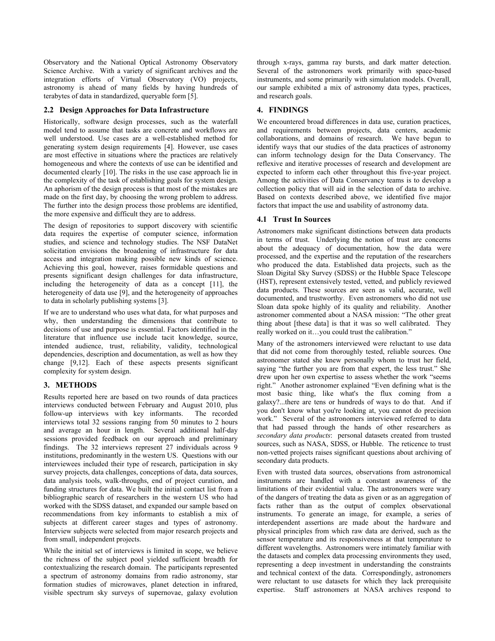Observatory and the National Optical Astronomy Observatory Science Archive. With a variety of significant archives and the integration efforts of Virtual Observatory (VO) projects, astronomy is ahead of many fields by having hundreds of terabytes of data in standardized, queryable form [5].

#### **2.2 Design Approaches for Data Infrastructure**

Historically, software design processes, such as the waterfall model tend to assume that tasks are concrete and workflows are well understood. Use cases are a well-established method for generating system design requirements [4]. However, use cases are most effective in situations where the practices are relatively homogeneous and where the contexts of use can be identified and documented clearly [10]. The risks in the use case approach lie in the complexity of the task of establishing goals for system design. An aphorism of the design process is that most of the mistakes are made on the first day, by choosing the wrong problem to address. The further into the design process those problems are identified, the more expensive and difficult they are to address.

The design of repositories to support discovery with scientific data requires the expertise of computer science, information studies, and science and technology studies. The NSF DataNet solicitation envisions the broadening of infrastructure for data access and integration making possible new kinds of science. Achieving this goal, however, raises formidable questions and presents significant design challenges for data infrastructure, including the heterogeneity of data as a concept [11], the heterogeneity of data use [9], and the heterogeneity of approaches to data in scholarly publishing systems [3].

If we are to understand who uses what data, for what purposes and why, then understanding the dimensions that contribute to decisions of use and purpose is essential. Factors identified in the literature that influence use include tacit knowledge, source, intended audience, trust, reliability, validity, technological dependencies, description and documentation, as well as how they change [9,12]. Each of these aspects presents significant complexity for system design.

#### **3. METHODS**

Results reported here are based on two rounds of data practices interviews conducted between February and August 2010, plus follow-up interviews with key informants. The recorded interviews total 32 sessions ranging from 50 minutes to 2 hours and average an hour in length. Several additional half-day sessions provided feedback on our approach and preliminary findings. The 32 interviews represent 27 individuals across 9 institutions, predominantly in the western US. Questions with our interviewees included their type of research, participation in sky survey projects, data challenges, conceptions of data, data sources, data analysis tools, walk-throughs, end of project curation, and funding structures for data. We built the initial contact list from a bibliographic search of researchers in the western US who had worked with the SDSS dataset, and expanded our sample based on recommendations from key informants to establish a mix of subjects at different career stages and types of astronomy. Interview subjects were selected from major research projects and from small, independent projects.

While the initial set of interviews is limited in scope, we believe the richness of the subject pool yielded sufficient breadth for contextualizing the research domain. The participants represented a spectrum of astronomy domains from radio astronomy, star formation studies of microwaves, planet detection in infrared, visible spectrum sky surveys of supernovae, galaxy evolution

through x-rays, gamma ray bursts, and dark matter detection. Several of the astronomers work primarily with space-based instruments, and some primarily with simulation models. Overall, our sample exhibited a mix of astronomy data types, practices, and research goals.

#### **4. FINDINGS**

We encountered broad differences in data use, curation practices, and requirements between projects, data centers, academic collaborations, and domains of research. We have begun to identify ways that our studies of the data practices of astronomy can inform technology design for the Data Conservancy. The reflexive and iterative processes of research and development are expected to inform each other throughout this five-year project. Among the activities of Data Conservancy teams is to develop a collection policy that will aid in the selection of data to archive. Based on contexts described above, we identified five major factors that impact the use and usability of astronomy data.

#### **4.1 Trust In Sources**

Astronomers make significant distinctions between data products in terms of trust. Underlying the notion of trust are concerns about the adequacy of documentation, how the data were processed, and the expertise and the reputation of the researchers who produced the data. Established data projects, such as the Sloan Digital Sky Survey (SDSS) or the Hubble Space Telescope (HST), represent extensively tested, vetted, and publicly reviewed data products. These sources are seen as valid, accurate, well documented, and trustworthy. Even astronomers who did not use Sloan data spoke highly of its quality and reliability. Another astronomer commented about a NASA mission: "The other great thing about [these data] is that it was so well calibrated. They really worked on it…you could trust the calibration."

Many of the astronomers interviewed were reluctant to use data that did not come from thoroughly tested, reliable sources. One astronomer stated she knew personally whom to trust her field, saying "the further you are from that expert, the less trust." She drew upon her own expertise to assess whether the work "seems right." Another astronomer explained "Even defining what is the most basic thing, like what's the flux coming from a galaxy?...there are tens or hundreds of ways to do that. And if you don't know what you're looking at, you cannot do precision work." Several of the astronomers interviewed referred to data that had passed through the hands of other researchers as *secondary data products*: personal datasets created from trusted sources, such as NASA, SDSS, or Hubble. The reticence to trust non-vetted projects raises significant questions about archiving of secondary data products.

Even with trusted data sources, observations from astronomical instruments are handled with a constant awareness of the limitations of their evidential value. The astronomers were wary of the dangers of treating the data as given or as an aggregation of facts rather than as the output of complex observational instruments. To generate an image, for example, a series of interdependent assertions are made about the hardware and physical principles from which raw data are derived, such as the sensor temperature and its responsiveness at that temperature to different wavelengths. Astronomers were intimately familiar with the datasets and complex data processing environments they used, representing a deep investment in understanding the constraints and technical context of the data. Correspondingly, astronomers were reluctant to use datasets for which they lack prerequisite expertise. Staff astronomers at NASA archives respond to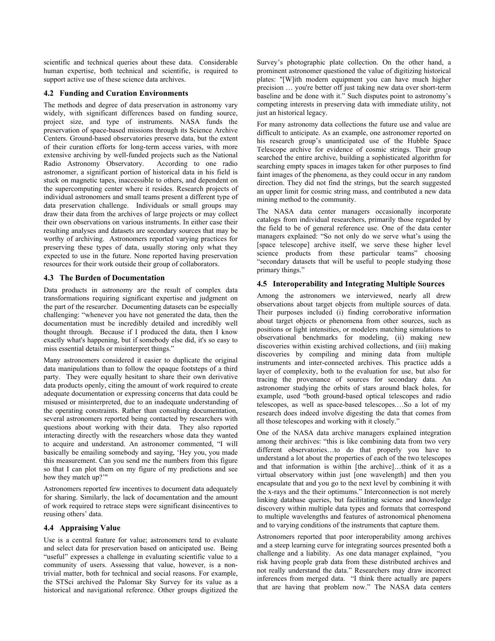scientific and technical queries about these data. Considerable human expertise, both technical and scientific, is required to support active use of these science data archives.

#### **4.2 Funding and Curation Environments**

The methods and degree of data preservation in astronomy vary widely, with significant differences based on funding source, project size, and type of instruments. NASA funds the preservation of space-based missions through its Science Archive Centers. Ground-based observatories preserve data, but the extent of their curation efforts for long-term access varies, with more extensive archiving by well-funded projects such as the National Radio Astronomy Observatory. According to one radio astronomer, a significant portion of historical data in his field is stuck on magnetic tapes, inaccessible to others, and dependent on the supercomputing center where it resides. Research projects of individual astronomers and small teams present a different type of data preservation challenge. Individuals or small groups may draw their data from the archives of large projects or may collect their own observations on various instruments. In either case their resulting analyses and datasets are secondary sources that may be worthy of archiving. Astronomers reported varying practices for preserving these types of data, usually storing only what they expected to use in the future. None reported having preservation resources for their work outside their group of collaborators.

#### **4.3 The Burden of Documentation**

Data products in astronomy are the result of complex data transformations requiring significant expertise and judgment on the part of the researcher. Documenting datasets can be especially challenging: "whenever you have not generated the data, then the documentation must be incredibly detailed and incredibly well thought through. Because if I produced the data, then I know exactly what's happening, but if somebody else did, it's so easy to miss essential details or misinterpret things."

Many astronomers considered it easier to duplicate the original data manipulations than to follow the opaque footsteps of a third party. They were equally hesitant to share their own derivative data products openly, citing the amount of work required to create adequate documentation or expressing concerns that data could be misused or misinterpreted, due to an inadequate understanding of the operating constraints. Rather than consulting documentation, several astronomers reported being contacted by researchers with questions about working with their data. They also reported interacting directly with the researchers whose data they wanted to acquire and understand. An astronomer commented, "I will basically be emailing somebody and saying, 'Hey you, you made this measurement. Can you send me the numbers from this figure so that I can plot them on my figure of my predictions and see how they match up?'"

Astronomers reported few incentives to document data adequately for sharing. Similarly, the lack of documentation and the amount of work required to retrace steps were significant disincentives to reusing others' data.

#### **4.4 Appraising Value**

Use is a central feature for value; astronomers tend to evaluate and select data for preservation based on anticipated use. Being "useful" expresses a challenge in evaluating scientific value to a community of users. Assessing that value, however, is a nontrivial matter, both for technical and social reasons. For example, the STSci archived the Palomar Sky Survey for its value as a historical and navigational reference. Other groups digitized the Survey's photographic plate collection. On the other hand, a prominent astronomer questioned the value of digitizing historical plates: "[W]ith modern equipment you can have much higher precision … you're better off just taking new data over short-term baseline and be done with it." Such disputes point to astronomy's competing interests in preserving data with immediate utility, not just an historical legacy.

For many astronomy data collections the future use and value are difficult to anticipate. As an example, one astronomer reported on his research group's unanticipated use of the Hubble Space Telescope archive for evidence of cosmic strings. Their group searched the entire archive, building a sophisticated algorithm for searching empty spaces in images taken for other purposes to find faint images of the phenomena, as they could occur in any random direction. They did not find the strings, but the search suggested an upper limit for cosmic string mass, and contributed a new data mining method to the community.

The NASA data center managers occasionally incorporate catalogs from individual researchers, primarily those regarded by the field to be of general reference use. One of the data center managers explained: "So not only do we serve what's using the [space telescope] archive itself, we serve these higher level science products from these particular teams" choosing "secondary datasets that will be useful to people studying those primary things."

#### **4.5 Interoperability and Integrating Multiple Sources**

Among the astronomers we interviewed, nearly all drew observations about target objects from multiple sources of data. Their purposes included (i) finding corroborative information about target objects or phenomena from other sources, such as positions or light intensities, or modelers matching simulations to observational benchmarks for modeling, (ii) making new discoveries within existing archived collections, and (iii) making discoveries by compiling and mining data from multiple instruments and inter-connected archives. This practice adds a layer of complexity, both to the evaluation for use, but also for tracing the provenance of sources for secondary data. An astronomer studying the orbits of stars around black holes, for example, used "both ground-based optical telescopes and radio telescopes, as well as space-based telescopes.…So a lot of my research does indeed involve digesting the data that comes from all those telescopes and working with it closely."

One of the NASA data archive managers explained integration among their archives: "this is like combining data from two very different observatories…to do that properly you have to understand a lot about the properties of each of the two telescopes and that information is within [the archive]…think of it as a virtual observatory within just [one wavelength] and then you encapsulate that and you go to the next level by combining it with the x-rays and the their optimums." Interconnection is not merely linking database queries, but facilitating science and knowledge discovery within multiple data types and formats that correspond to multiple wavelengths and features of astronomical phenomena and to varying conditions of the instruments that capture them.

Astronomers reported that poor interoperability among archives and a steep learning curve for integrating sources presented both a challenge and a liability. As one data manager explained, "you risk having people grab data from these distributed archives and not really understand the data." Researchers may draw incorrect inferences from merged data. "I think there actually are papers that are having that problem now." The NASA data centers